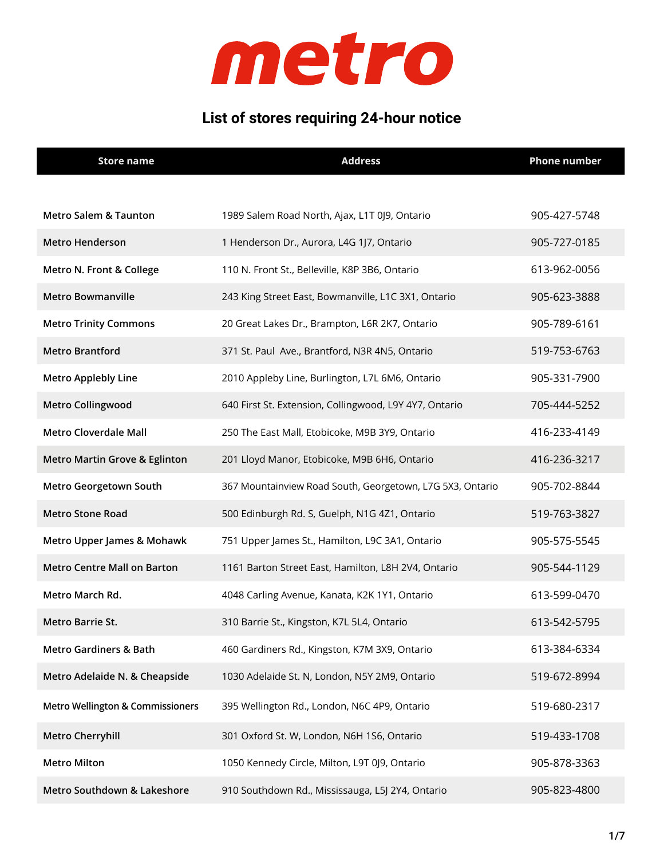

#### **List of stores requiring 24-hour notice**

| <b>Store name</b>                           | <b>Address</b>                                            | <b>Phone number</b> |
|---------------------------------------------|-----------------------------------------------------------|---------------------|
|                                             |                                                           |                     |
| <b>Metro Salem &amp; Taunton</b>            | 1989 Salem Road North, Ajax, L1T 0J9, Ontario             | 905-427-5748        |
| <b>Metro Henderson</b>                      | 1 Henderson Dr., Aurora, L4G 1J7, Ontario                 | 905-727-0185        |
| Metro N. Front & College                    | 110 N. Front St., Belleville, K8P 3B6, Ontario            | 613-962-0056        |
| <b>Metro Bowmanville</b>                    | 243 King Street East, Bowmanville, L1C 3X1, Ontario       | 905-623-3888        |
| <b>Metro Trinity Commons</b>                | 20 Great Lakes Dr., Brampton, L6R 2K7, Ontario            | 905-789-6161        |
| <b>Metro Brantford</b>                      | 371 St. Paul Ave., Brantford, N3R 4N5, Ontario            | 519-753-6763        |
| <b>Metro Applebly Line</b>                  | 2010 Appleby Line, Burlington, L7L 6M6, Ontario           | 905-331-7900        |
| <b>Metro Collingwood</b>                    | 640 First St. Extension, Collingwood, L9Y 4Y7, Ontario    | 705-444-5252        |
| <b>Metro Cloverdale Mall</b>                | 250 The East Mall, Etobicoke, M9B 3Y9, Ontario            | 416-233-4149        |
| <b>Metro Martin Grove &amp; Eglinton</b>    | 201 Lloyd Manor, Etobicoke, M9B 6H6, Ontario              | 416-236-3217        |
| Metro Georgetown South                      | 367 Mountainview Road South, Georgetown, L7G 5X3, Ontario | 905-702-8844        |
| <b>Metro Stone Road</b>                     | 500 Edinburgh Rd. S, Guelph, N1G 4Z1, Ontario             | 519-763-3827        |
| Metro Upper James & Mohawk                  | 751 Upper James St., Hamilton, L9C 3A1, Ontario           | 905-575-5545        |
| <b>Metro Centre Mall on Barton</b>          | 1161 Barton Street East, Hamilton, L8H 2V4, Ontario       | 905-544-1129        |
| Metro March Rd.                             | 4048 Carling Avenue, Kanata, K2K 1Y1, Ontario             | 613-599-0470        |
| Metro Barrie St.                            | 310 Barrie St., Kingston, K7L 5L4, Ontario                | 613-542-5795        |
| <b>Metro Gardiners &amp; Bath</b>           | 460 Gardiners Rd., Kingston, K7M 3X9, Ontario             | 613-384-6334        |
| Metro Adelaide N. & Cheapside               | 1030 Adelaide St. N, London, N5Y 2M9, Ontario             | 519-672-8994        |
| <b>Metro Wellington &amp; Commissioners</b> | 395 Wellington Rd., London, N6C 4P9, Ontario              | 519-680-2317        |
| <b>Metro Cherryhill</b>                     | 301 Oxford St. W, London, N6H 1S6, Ontario                | 519-433-1708        |
| <b>Metro Milton</b>                         | 1050 Kennedy Circle, Milton, L9T 0J9, Ontario             | 905-878-3363        |
| Metro Southdown & Lakeshore                 | 910 Southdown Rd., Mississauga, L5J 2Y4, Ontario          | 905-823-4800        |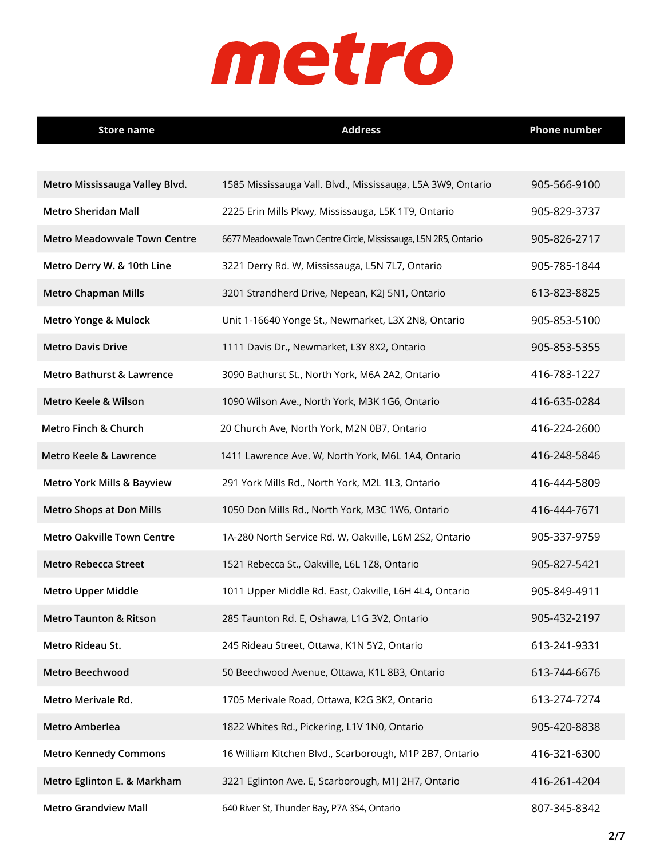| <b>Store name</b>                     | <b>Address</b>                                                    | <b>Phone number</b> |
|---------------------------------------|-------------------------------------------------------------------|---------------------|
|                                       |                                                                   |                     |
| Metro Mississauga Valley Blvd.        | 1585 Mississauga Vall. Blvd., Mississauga, L5A 3W9, Ontario       | 905-566-9100        |
| <b>Metro Sheridan Mall</b>            | 2225 Erin Mills Pkwy, Mississauga, L5K 1T9, Ontario               | 905-829-3737        |
| <b>Metro Meadowvale Town Centre</b>   | 6677 Meadowvale Town Centre Circle, Mississauga, L5N 2R5, Ontario | 905-826-2717        |
| Metro Derry W. & 10th Line            | 3221 Derry Rd. W, Mississauga, L5N 7L7, Ontario                   | 905-785-1844        |
| <b>Metro Chapman Mills</b>            | 3201 Strandherd Drive, Nepean, K2J 5N1, Ontario                   | 613-823-8825        |
| Metro Yonge & Mulock                  | Unit 1-16640 Yonge St., Newmarket, L3X 2N8, Ontario               | 905-853-5100        |
| <b>Metro Davis Drive</b>              | 1111 Davis Dr., Newmarket, L3Y 8X2, Ontario                       | 905-853-5355        |
| Metro Bathurst & Lawrence             | 3090 Bathurst St., North York, M6A 2A2, Ontario                   | 416-783-1227        |
| Metro Keele & Wilson                  | 1090 Wilson Ave., North York, M3K 1G6, Ontario                    | 416-635-0284        |
| Metro Finch & Church                  | 20 Church Ave, North York, M2N 0B7, Ontario                       | 416-224-2600        |
| Metro Keele & Lawrence                | 1411 Lawrence Ave. W, North York, M6L 1A4, Ontario                | 416-248-5846        |
| <b>Metro York Mills &amp; Bayview</b> | 291 York Mills Rd., North York, M2L 1L3, Ontario                  | 416-444-5809        |
| <b>Metro Shops at Don Mills</b>       | 1050 Don Mills Rd., North York, M3C 1W6, Ontario                  | 416-444-7671        |
| <b>Metro Oakville Town Centre</b>     | 1A-280 North Service Rd. W, Oakville, L6M 2S2, Ontario            | 905-337-9759        |
| <b>Metro Rebecca Street</b>           | 1521 Rebecca St., Oakville, L6L 1Z8, Ontario                      | 905-827-5421        |
| <b>Metro Upper Middle</b>             | 1011 Upper Middle Rd. East, Oakville, L6H 4L4, Ontario            | 905-849-4911        |
| <b>Metro Taunton &amp; Ritson</b>     | 285 Taunton Rd. E, Oshawa, L1G 3V2, Ontario                       | 905-432-2197        |
| Metro Rideau St.                      | 245 Rideau Street, Ottawa, K1N 5Y2, Ontario                       | 613-241-9331        |
| <b>Metro Beechwood</b>                | 50 Beechwood Avenue, Ottawa, K1L 8B3, Ontario                     | 613-744-6676        |
| Metro Merivale Rd.                    | 1705 Merivale Road, Ottawa, K2G 3K2, Ontario                      | 613-274-7274        |
| Metro Amberlea                        | 1822 Whites Rd., Pickering, L1V 1N0, Ontario                      | 905-420-8838        |
| <b>Metro Kennedy Commons</b>          | 16 William Kitchen Blvd., Scarborough, M1P 2B7, Ontario           | 416-321-6300        |
| Metro Eglinton E. & Markham           | 3221 Eglinton Ave. E, Scarborough, M1J 2H7, Ontario               | 416-261-4204        |
| <b>Metro Grandview Mall</b>           | 640 River St, Thunder Bay, P7A 3S4, Ontario                       | 807-345-8342        |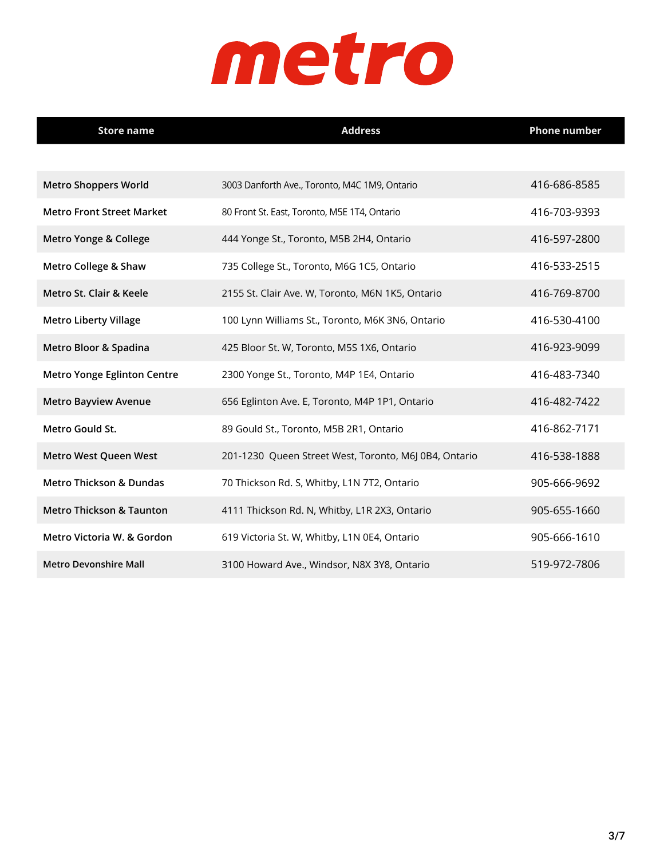| <b>Store name</b>                   | <b>Address</b>                                        | <b>Phone number</b> |
|-------------------------------------|-------------------------------------------------------|---------------------|
|                                     |                                                       |                     |
| <b>Metro Shoppers World</b>         | 3003 Danforth Ave., Toronto, M4C 1M9, Ontario         | 416-686-8585        |
| <b>Metro Front Street Market</b>    | 80 Front St. East, Toronto, M5E 1T4, Ontario          | 416-703-9393        |
| Metro Yonge & College               | 444 Yonge St., Toronto, M5B 2H4, Ontario              | 416-597-2800        |
| <b>Metro College &amp; Shaw</b>     | 735 College St., Toronto, M6G 1C5, Ontario            | 416-533-2515        |
| Metro St. Clair & Keele             | 2155 St. Clair Ave. W, Toronto, M6N 1K5, Ontario      | 416-769-8700        |
| <b>Metro Liberty Village</b>        | 100 Lynn Williams St., Toronto, M6K 3N6, Ontario      | 416-530-4100        |
| Metro Bloor & Spadina               | 425 Bloor St. W, Toronto, M5S 1X6, Ontario            | 416-923-9099        |
| <b>Metro Yonge Eglinton Centre</b>  | 2300 Yonge St., Toronto, M4P 1E4, Ontario             | 416-483-7340        |
| <b>Metro Bayview Avenue</b>         | 656 Eglinton Ave. E, Toronto, M4P 1P1, Ontario        | 416-482-7422        |
| Metro Gould St.                     | 89 Gould St., Toronto, M5B 2R1, Ontario               | 416-862-7171        |
| Metro West Queen West               | 201-1230 Queen Street West, Toronto, M6J 0B4, Ontario | 416-538-1888        |
| <b>Metro Thickson &amp; Dundas</b>  | 70 Thickson Rd. S, Whitby, L1N 7T2, Ontario           | 905-666-9692        |
| <b>Metro Thickson &amp; Taunton</b> | 4111 Thickson Rd. N, Whitby, L1R 2X3, Ontario         | 905-655-1660        |
| Metro Victoria W. & Gordon          | 619 Victoria St. W, Whitby, L1N 0E4, Ontario          | 905-666-1610        |
| <b>Metro Devonshire Mall</b>        | 3100 Howard Ave., Windsor, N8X 3Y8, Ontario           | 519-972-7806        |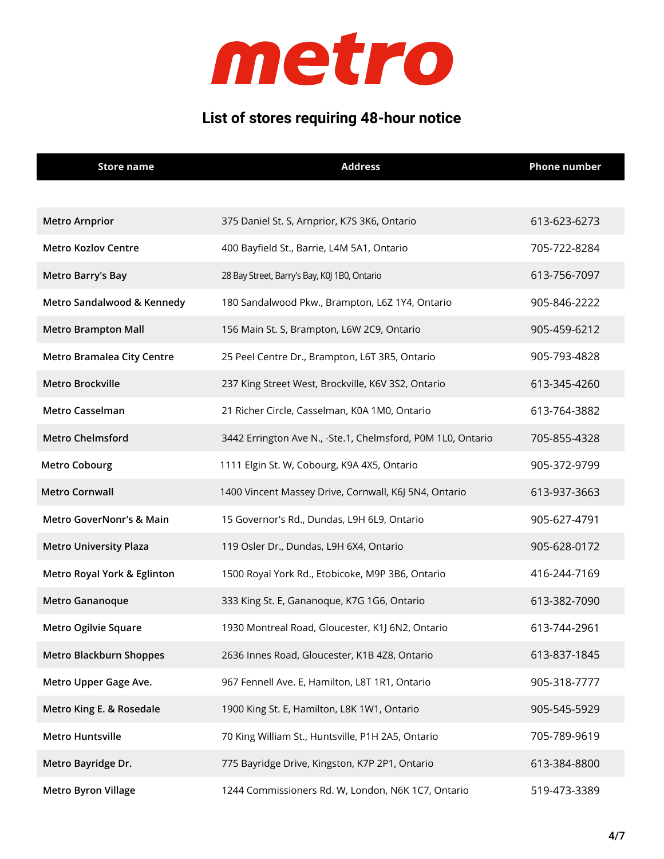

### **List of stores requiring 48-hour notice**

| <b>Store name</b>                 | <b>Address</b>                                              | <b>Phone number</b> |
|-----------------------------------|-------------------------------------------------------------|---------------------|
|                                   |                                                             |                     |
| <b>Metro Arnprior</b>             | 375 Daniel St. S, Arnprior, K7S 3K6, Ontario                | 613-623-6273        |
| <b>Metro Kozlov Centre</b>        | 400 Bayfield St., Barrie, L4M 5A1, Ontario                  | 705-722-8284        |
| <b>Metro Barry's Bay</b>          | 28 Bay Street, Barry's Bay, K0J 1B0, Ontario                | 613-756-7097        |
| Metro Sandalwood & Kennedy        | 180 Sandalwood Pkw., Brampton, L6Z 1Y4, Ontario             | 905-846-2222        |
| <b>Metro Brampton Mall</b>        | 156 Main St. S, Brampton, L6W 2C9, Ontario                  | 905-459-6212        |
| <b>Metro Bramalea City Centre</b> | 25 Peel Centre Dr., Brampton, L6T 3R5, Ontario              | 905-793-4828        |
| Metro Brockville                  | 237 King Street West, Brockville, K6V 3S2, Ontario          | 613-345-4260        |
| Metro Casselman                   | 21 Richer Circle, Casselman, K0A 1M0, Ontario               | 613-764-3882        |
| <b>Metro Chelmsford</b>           | 3442 Errington Ave N., -Ste.1, Chelmsford, P0M 1L0, Ontario | 705-855-4328        |
| <b>Metro Cobourg</b>              | 1111 Elgin St. W, Cobourg, K9A 4X5, Ontario                 | 905-372-9799        |
| <b>Metro Cornwall</b>             | 1400 Vincent Massey Drive, Cornwall, K6J 5N4, Ontario       | 613-937-3663        |
| Metro GoverNonr's & Main          | 15 Governor's Rd., Dundas, L9H 6L9, Ontario                 | 905-627-4791        |
| <b>Metro University Plaza</b>     | 119 Osler Dr., Dundas, L9H 6X4, Ontario                     | 905-628-0172        |
| Metro Royal York & Eglinton       | 1500 Royal York Rd., Etobicoke, M9P 3B6, Ontario            | 416-244-7169        |
| Metro Gananoque                   | 333 King St. E, Gananoque, K7G 1G6, Ontario                 | 613-382-7090        |
| Metro Ogilvie Square              | 1930 Montreal Road, Gloucester, K1J 6N2, Ontario            | 613-744-2961        |
| <b>Metro Blackburn Shoppes</b>    | 2636 Innes Road, Gloucester, K1B 4Z8, Ontario               | 613-837-1845        |
| Metro Upper Gage Ave.             | 967 Fennell Ave. E, Hamilton, L8T 1R1, Ontario              | 905-318-7777        |
| Metro King E. & Rosedale          | 1900 King St. E, Hamilton, L8K 1W1, Ontario                 | 905-545-5929        |
| <b>Metro Huntsville</b>           | 70 King William St., Huntsville, P1H 2A5, Ontario           | 705-789-9619        |
| Metro Bayridge Dr.                | 775 Bayridge Drive, Kingston, K7P 2P1, Ontario              | 613-384-8800        |
| <b>Metro Byron Village</b>        | 1244 Commissioners Rd. W, London, N6K 1C7, Ontario          | 519-473-3389        |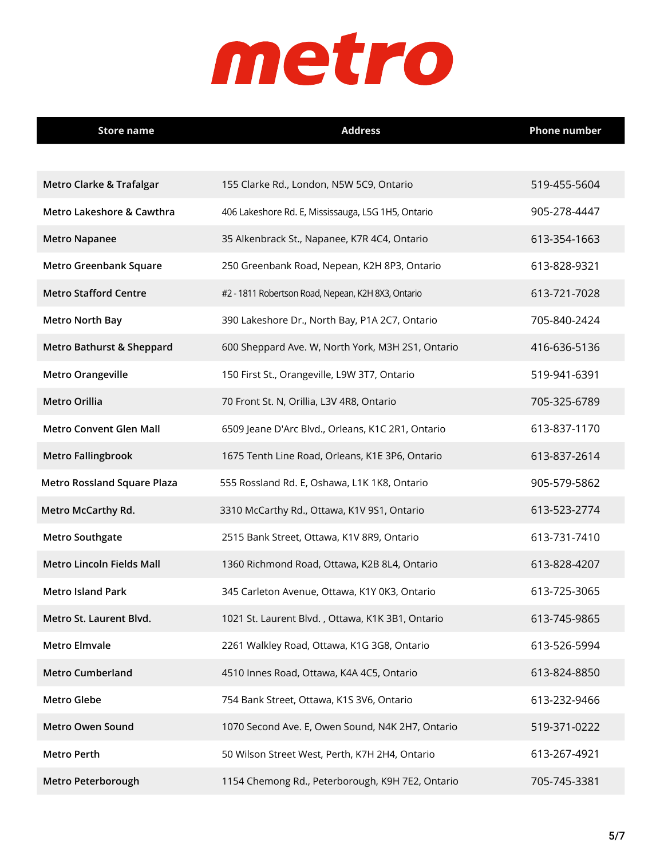| <b>Store name</b>                  | <b>Address</b>                                     | <b>Phone number</b> |
|------------------------------------|----------------------------------------------------|---------------------|
|                                    |                                                    |                     |
| Metro Clarke & Trafalgar           | 155 Clarke Rd., London, N5W 5C9, Ontario           | 519-455-5604        |
| Metro Lakeshore & Cawthra          | 406 Lakeshore Rd. E, Mississauga, L5G 1H5, Ontario | 905-278-4447        |
| <b>Metro Napanee</b>               | 35 Alkenbrack St., Napanee, K7R 4C4, Ontario       | 613-354-1663        |
| <b>Metro Greenbank Square</b>      | 250 Greenbank Road, Nepean, K2H 8P3, Ontario       | 613-828-9321        |
| <b>Metro Stafford Centre</b>       | #2 - 1811 Robertson Road, Nepean, K2H 8X3, Ontario | 613-721-7028        |
| <b>Metro North Bay</b>             | 390 Lakeshore Dr., North Bay, P1A 2C7, Ontario     | 705-840-2424        |
| Metro Bathurst & Sheppard          | 600 Sheppard Ave. W, North York, M3H 2S1, Ontario  | 416-636-5136        |
| <b>Metro Orangeville</b>           | 150 First St., Orangeville, L9W 3T7, Ontario       | 519-941-6391        |
| <b>Metro Orillia</b>               | 70 Front St. N, Orillia, L3V 4R8, Ontario          | 705-325-6789        |
| <b>Metro Convent Glen Mall</b>     | 6509 Jeane D'Arc Blvd., Orleans, K1C 2R1, Ontario  | 613-837-1170        |
| <b>Metro Fallingbrook</b>          | 1675 Tenth Line Road, Orleans, K1E 3P6, Ontario    | 613-837-2614        |
| <b>Metro Rossland Square Plaza</b> | 555 Rossland Rd. E, Oshawa, L1K 1K8, Ontario       | 905-579-5862        |
| <b>Metro McCarthy Rd.</b>          | 3310 McCarthy Rd., Ottawa, K1V 9S1, Ontario        | 613-523-2774        |
| <b>Metro Southgate</b>             | 2515 Bank Street, Ottawa, K1V 8R9, Ontario         | 613-731-7410        |
| <b>Metro Lincoln Fields Mall</b>   | 1360 Richmond Road, Ottawa, K2B 8L4, Ontario       | 613-828-4207        |
| <b>Metro Island Park</b>           | 345 Carleton Avenue, Ottawa, K1Y 0K3, Ontario      | 613-725-3065        |
| Metro St. Laurent Blvd.            | 1021 St. Laurent Blvd., Ottawa, K1K 3B1, Ontario   | 613-745-9865        |
| <b>Metro Elmvale</b>               | 2261 Walkley Road, Ottawa, K1G 3G8, Ontario        | 613-526-5994        |
| <b>Metro Cumberland</b>            | 4510 Innes Road, Ottawa, K4A 4C5, Ontario          | 613-824-8850        |
| <b>Metro Glebe</b>                 | 754 Bank Street, Ottawa, K1S 3V6, Ontario          | 613-232-9466        |
| <b>Metro Owen Sound</b>            | 1070 Second Ave. E, Owen Sound, N4K 2H7, Ontario   | 519-371-0222        |
| <b>Metro Perth</b>                 | 50 Wilson Street West, Perth, K7H 2H4, Ontario     | 613-267-4921        |
| Metro Peterborough                 | 1154 Chemong Rd., Peterborough, K9H 7E2, Ontario   | 705-745-3381        |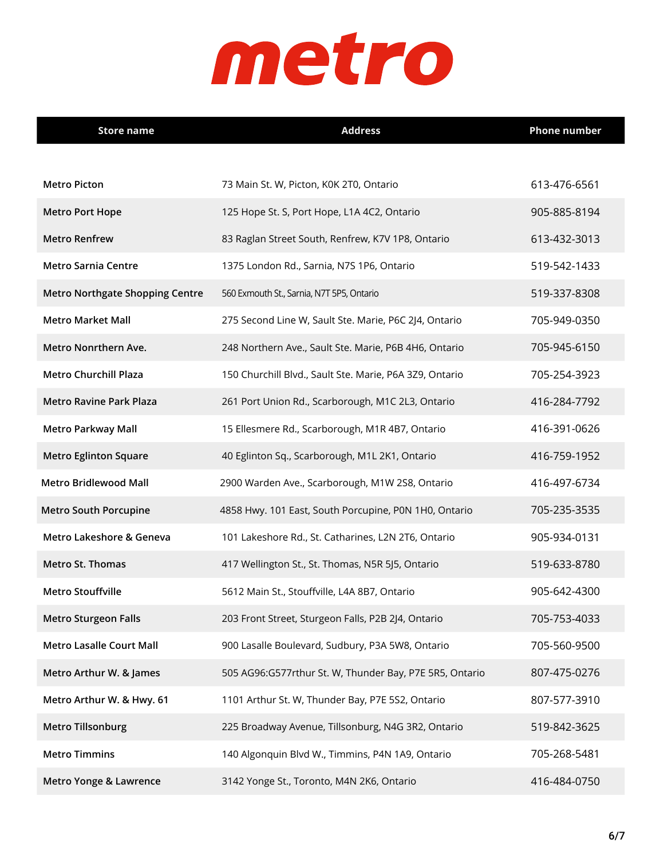| <b>Store name</b>                      | <b>Address</b>                                          | <b>Phone number</b> |
|----------------------------------------|---------------------------------------------------------|---------------------|
|                                        |                                                         |                     |
| <b>Metro Picton</b>                    | 73 Main St. W, Picton, K0K 2T0, Ontario                 | 613-476-6561        |
| <b>Metro Port Hope</b>                 | 125 Hope St. S, Port Hope, L1A 4C2, Ontario             | 905-885-8194        |
| <b>Metro Renfrew</b>                   | 83 Raglan Street South, Renfrew, K7V 1P8, Ontario       | 613-432-3013        |
| <b>Metro Sarnia Centre</b>             | 1375 London Rd., Sarnia, N7S 1P6, Ontario               | 519-542-1433        |
| <b>Metro Northgate Shopping Centre</b> | 560 Exmouth St., Sarnia, N7T 5P5, Ontario               | 519-337-8308        |
| <b>Metro Market Mall</b>               | 275 Second Line W, Sault Ste. Marie, P6C 2J4, Ontario   | 705-949-0350        |
| Metro Nonrthern Ave.                   | 248 Northern Ave., Sault Ste. Marie, P6B 4H6, Ontario   | 705-945-6150        |
| <b>Metro Churchill Plaza</b>           | 150 Churchill Blvd., Sault Ste. Marie, P6A 3Z9, Ontario | 705-254-3923        |
| <b>Metro Ravine Park Plaza</b>         | 261 Port Union Rd., Scarborough, M1C 2L3, Ontario       | 416-284-7792        |
| <b>Metro Parkway Mall</b>              | 15 Ellesmere Rd., Scarborough, M1R 4B7, Ontario         | 416-391-0626        |
| <b>Metro Eglinton Square</b>           | 40 Eglinton Sq., Scarborough, M1L 2K1, Ontario          | 416-759-1952        |
| <b>Metro Bridlewood Mall</b>           | 2900 Warden Ave., Scarborough, M1W 2S8, Ontario         | 416-497-6734        |
| <b>Metro South Porcupine</b>           | 4858 Hwy. 101 East, South Porcupine, P0N 1H0, Ontario   | 705-235-3535        |
| Metro Lakeshore & Geneva               | 101 Lakeshore Rd., St. Catharines, L2N 2T6, Ontario     | 905-934-0131        |
| Metro St. Thomas                       | 417 Wellington St., St. Thomas, N5R 5J5, Ontario        | 519-633-8780        |
| <b>Metro Stouffville</b>               | 5612 Main St., Stouffville, L4A 8B7, Ontario            | 905-642-4300        |
| <b>Metro Sturgeon Falls</b>            | 203 Front Street, Sturgeon Falls, P2B 2J4, Ontario      | 705-753-4033        |
| <b>Metro Lasalle Court Mall</b>        | 900 Lasalle Boulevard, Sudbury, P3A 5W8, Ontario        | 705-560-9500        |
| Metro Arthur W. & James                | 505 AG96:G577rthur St. W, Thunder Bay, P7E 5R5, Ontario | 807-475-0276        |
| Metro Arthur W. & Hwy. 61              | 1101 Arthur St. W, Thunder Bay, P7E 5S2, Ontario        | 807-577-3910        |
| <b>Metro Tillsonburg</b>               | 225 Broadway Avenue, Tillsonburg, N4G 3R2, Ontario      | 519-842-3625        |
| <b>Metro Timmins</b>                   | 140 Algonquin Blvd W., Timmins, P4N 1A9, Ontario        | 705-268-5481        |
| Metro Yonge & Lawrence                 | 3142 Yonge St., Toronto, M4N 2K6, Ontario               | 416-484-0750        |